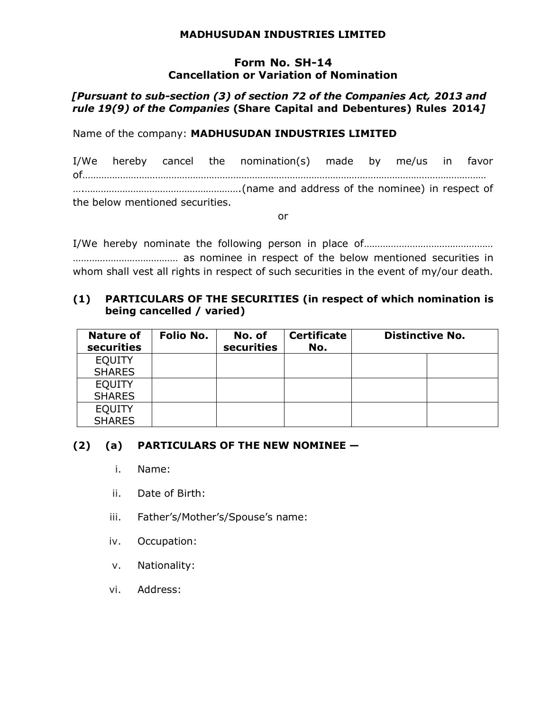### **MADHUSUDAN INDUSTRIES LIMITED**

### **Form No. SH-14 Cancellation or Variation of Nomination**

# *[Pursuant to sub-section (3) of section 72 of the Companies Act, 2013 and rule 19(9) of the Companies* **(Share Capital and Debentures) Rules 2014***]*

Name of the company: **MADHUSUDAN INDUSTRIES LIMITED**

I/We hereby cancel the nomination(s) made by me/us in favor of…………………………………………………………………………………………………………………………………… ….………………………………………………….(name and address of the nominee) in respect of the below mentioned securities.

or

I/We hereby nominate the following person in place of………………………………………… ………………………………… as nominee in respect of the below mentioned securities in whom shall vest all rights in respect of such securities in the event of my/our death.

# **(1) PARTICULARS OF THE SECURITIES (in respect of which nomination is being cancelled / varied)**

| <b>Nature of</b><br>securities | Folio No. | No. of<br>securities | <b>Certificate</b><br>No. | <b>Distinctive No.</b> |
|--------------------------------|-----------|----------------------|---------------------------|------------------------|
| <b>EQUITY</b>                  |           |                      |                           |                        |
| <b>SHARES</b>                  |           |                      |                           |                        |
| <b>EQUITY</b>                  |           |                      |                           |                        |
| <b>SHARES</b>                  |           |                      |                           |                        |
| <b>EQUITY</b>                  |           |                      |                           |                        |
| <b>SHARES</b>                  |           |                      |                           |                        |

## **(2) (a) PARTICULARS OF THE NEW NOMINEE —**

- i. Name:
- ii. Date of Birth:
- iii. Father's/Mother's/Spouse's name:
- iv. Occupation:
- v. Nationality:
- vi. Address: